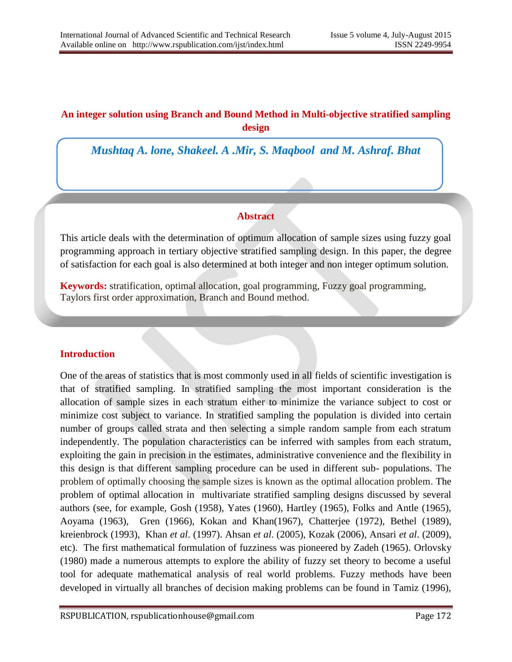# **An integer solution using Branch and Bound Method in Multi-objective stratified sampling design**

*Mushtaq A. lone, Shakeel. A .Mir, S. Maqbool and M. Ashraf. Bhat*

## **Abstract**

This article deals with the determination of optimum allocation of sample sizes using fuzzy goal programming approach in tertiary objective stratified sampling design. In this paper, the degree of satisfaction for each goal is also determined at both integer and non integer optimum solution.

**Keywords:** stratification, optimal allocation, goal programming, Fuzzy goal programming, Taylors first order approximation, Branch and Bound method.

## **Introduction**

One of the areas of statistics that is most commonly used in all fields of scientific investigation is that of stratified sampling. In stratified sampling the most important consideration is the allocation of sample sizes in each stratum either to minimize the variance subject to cost or minimize cost subject to variance. In stratified sampling the population is divided into certain number of groups called strata and then selecting a simple random sample from each stratum independently. The population characteristics can be inferred with samples from each stratum, exploiting the gain in precision in the estimates, administrative convenience and the flexibility in this design is that different sampling procedure can be used in different sub- populations. The problem of optimally choosing the sample sizes is known as the optimal allocation problem. The problem of optimal allocation in multivariate stratified sampling designs discussed by several authors (see, for example, Gosh (1958), Yates (1960), Hartley (1965), Folks and Antle (1965), Aoyama (1963), Gren (1966), Kokan and Khan(1967), Chatterjee (1972), Bethel (1989), kreienbrock (1993), Khan *et al*. (1997). Ahsan *et al*. (2005), Kozak (2006), Ansari *et al*. (2009), etc). The first mathematical formulation of fuzziness was pioneered by Zadeh (1965). Orlovsky (1980) made a numerous attempts to explore the ability of fuzzy set theory to become a useful tool for adequate mathematical analysis of real world problems. Fuzzy methods have been developed in virtually all branches of decision making problems can be found in Tamiz (1996),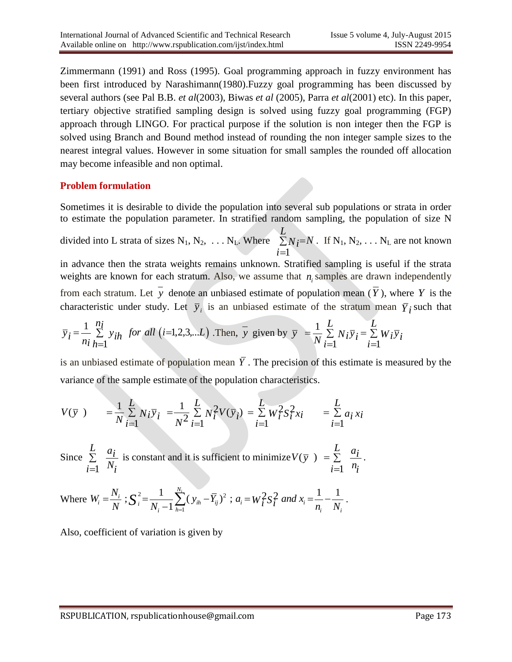Zimmermann (1991) and Ross (1995). Goal programming approach in fuzzy environment has been first introduced by Narashimann(1980).Fuzzy goal programming has been discussed by several authors (see Pal B.B. *et al*(2003), Biwas *et al* (2005), Parra *et al*(2001) etc). In this paper, tertiary objective stratified sampling design is solved using fuzzy goal programming (FGP) approach through LINGO. For practical purpose if the solution is non integer then the FGP is solved using Branch and Bound method instead of rounding the non integer sample sizes to the nearest integral values. However in some situation for small samples the rounded off allocation may become infeasible and non optimal.

## **Problem formulation**

Sometimes it is desirable to divide the population into several sub populations or strata in order to estimate the population parameter. In stratified random sampling, the population of size N

divided into L strata of sizes  $N_1, N_2, \ldots N_L$ . Where  $\Sigma$  $=$  $=$ *L i*  $N_i = N$ 1 . If  $N_1, N_2, \ldots N_L$  are not known

in advance then the strata weights remains unknown. Stratified sampling is useful if the strata weights are known for each stratum. Also, we assume that  $n_i$  samples are drawn independently from each stratum. Let y denote an unbiased estimate of population mean  $(Y)$ , where Y is the characteristic under study. Let  $\bar{y}_i$  is an unbiased estimate of the stratum mean  $\bar{Y}_i$  such that

$$
\overline{y}_i = \frac{1}{n_i} \sum_{h=1}^{n_i} y_{ih}
$$
 for all (i=1,2,3,...L). Then,  $\overline{y}$  given by  $\overline{y} = \frac{1}{N} \sum_{i=1}^{L} N_i \overline{y}_i = \sum_{i=1}^{L} W_i \overline{y}_i$ 

is an unbiased estimate of population mean *Y* . The precision of this estimate is measured by the variance of the sample estimate of the population characteristics.

As an unbiased estimate of population mean 
$$
T
$$
. The precision of this estimate is a variance of the sample estimate of the population characteristics.

\n
$$
V(\bar{y}) = \frac{1}{N} \sum_{i=1}^{L} N_i \bar{y}_i = \frac{1}{N^2} \sum_{i=1}^{L} N_i^2 V(\bar{y}_i) = \sum_{i=1}^{L} W_i^2 S_i^2 x_i = \sum_{i=1}^{L} a_i x_i
$$

Since 1 *<sup>L</sup> ai*  $\sum_{i=1}^{n} N_i$ Σ  $=$ is constant and it is sufficient to minimize  $V(\overline{y})$ 1  $V(\bar{y}) = \sum_{i=1}^{L} a_i$  $\sum_{i=1}^{n}$   $n_i$  $= \sum$  $=$ .

$$
\sum_{i=1}^{n} N_i
$$
\nWhere  $W_i = \frac{N_i}{N}$ ;  $S_i^2 = \frac{1}{N_i - 1} \sum_{h=1}^{N_i} (y_{ih} - \overline{Y}_{ij})^2$ ;  $a_i = W_i^2 S_i^2$  and  $x_i = \frac{1}{n_i} - \frac{1}{N_i}$ .

Also, coefficient of variation is given by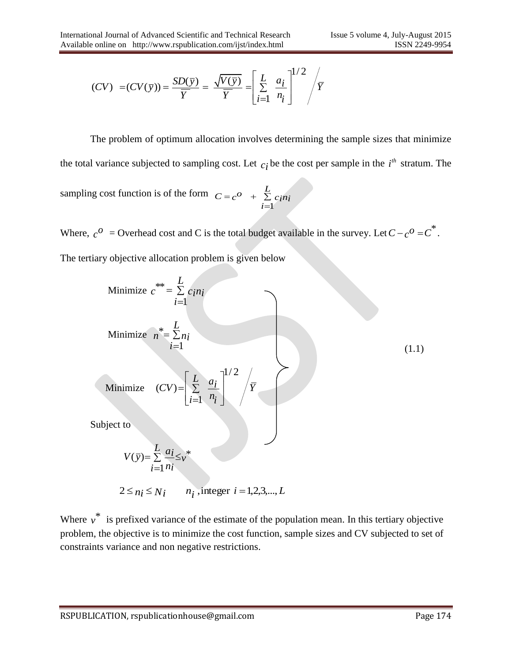e online on <http://www.rspublication.com/ijst/index.html>  
\n
$$
(CV) = (CV(\overline{y})) = \frac{SD(\overline{y})}{\overline{Y}} = \frac{\sqrt{V(\overline{y})}}{\overline{Y}} = \left[\sum_{i=1}^{L} \frac{a_i}{n_i}\right]^{1/2} / \overline{Y}
$$

The problem of optimum allocation involves determining the sample sizes that minimize the total variance subjected to sampling cost. Let  $c_i$  be the cost per sample in the  $i<sup>th</sup>$  stratum. The sampling cost function is of the form 1  $C = c^O$  +  $\sum_{i=1}^{L} c_i n_i$  $=c^{\scriptscriptstyle O}$  +  $\sum^{\scriptscriptstyle L}$  $=$ 

Where,  $c^0$  = Overhead cost and C is the total budget available in the survey. Let  $C - c^0 = C^*$ . The tertiary objective allocation problem is given below

Minimize 
$$
c^{**} = \sum_{i=1}^{L} c_i n_i
$$
  
\nMinimize  $n^* = \sum_{i=1}^{L} n_i$   
\nMinimize  $(CV) = \left[\sum_{i=1}^{L} \frac{a_i}{n_i}\right]^{1/2} / \overline{Y}$   
\nSubject to  
\n
$$
V(\overline{y}) = \sum_{i=1}^{L} \frac{a_i}{n_i} \leq v^*
$$
\n
$$
2 \leq n_i \leq N_i \qquad n_i \text{ integer } i = 1, 2, 3, \dots, L
$$
\n(1.1)

Where  $v^*$  is prefixed variance of the estimate of the population mean. In this tertiary objective problem, the objective is to minimize the cost function, sample sizes and CV subjected to set of constraints variance and non negative restrictions.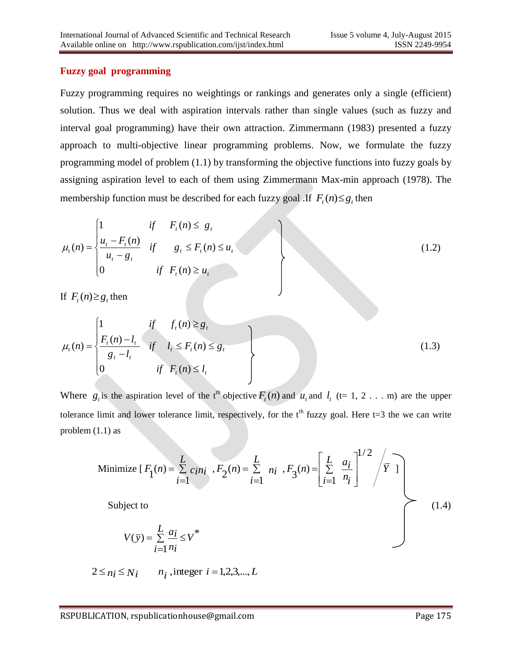## **Fuzzy goal programming**

Fuzzy programming requires no weightings or rankings and generates only a single (efficient) solution. Thus we deal with aspiration intervals rather than single values (such as fuzzy and interval goal programming) have their own attraction. Zimmermann (1983) presented a fuzzy approach to multi-objective linear programming problems. Now, we formulate the fuzzy programming model of problem (1.1) by transforming the objective functions into fuzzy goals by assigning aspiration level to each of them using Zimmermann Max-min approach (1978). The membership function must be described for each fuzzy goal .If  $F_t(n) \leq g_t$  then

$$
\mu_t(n) = \begin{cases}\n1 & \text{if } F_t(n) \le g_t \\
\frac{u_t - F_t(n)}{u_t - g_t} & \text{if } g_t \le F_t(n) \le u_t \\
0 & \text{if } F_t(n) \ge u_t\n\end{cases}
$$
\n(1.2)

If  $F_t(n) \geq g_t$  then

$$
\mu_{t}(n) = \begin{cases}\n1 & \text{if } f_{t}(n) \geq g_{t} \\
\frac{F_{t}(n) - l_{t}}{g_{t} - l_{t}} & \text{if } l_{t} \leq F_{t}(n) \leq g_{t} \\
0 & \text{if } F_{t}(n) \leq l_{t}\n\end{cases}
$$
\n(1.3)

Where  $g_t$  is the aspiration level of the t<sup>th</sup> objective  $F_t(n)$  and  $u_t$  and  $l_t$  (t= 1, 2 . . . m) are the upper tolerance limit and lower tolerance limit, respectively, for the  $t<sup>th</sup>$  fuzzy goal. Here t=3 the we can write problem (1.1) as

Minimize 
$$
[F_1(n) = \sum_{i=1}^{L} c_i n_i, F_2(n) = \sum_{i=1}^{L} n_i, F_3(n) = \left[\sum_{i=1}^{L} \frac{a_i}{n_i}\right]^{1/2} / \overline{Y}
$$
]  
Subject to (1.4)

$$
V(\bar{y}) = \sum_{i=1}^{L} \frac{a_i}{n_i} \le V^*
$$

$$
2 \le n_i \le N_i \qquad n_i \text{, integer } i = 1, 2, 3, \dots, L
$$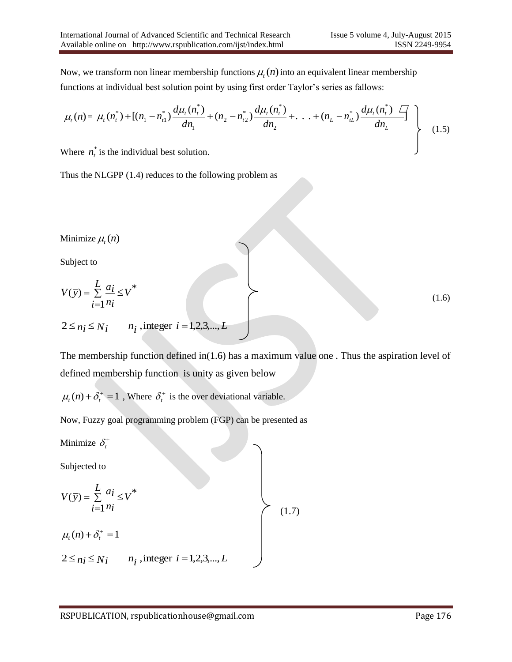Now, we transform non linear membership functions  $\mu_t(n)$  into an equivalent linear membership functions at individual best solution point by using first order Taylor's series as fallows:

$$
\mu_t(n) = \mu_t(n_t^*) + [(n_1 - n_{t1}^*) \frac{d\mu_t(n_t^*)}{dn_1} + (n_2 - n_{t2}^*) \frac{d\mu_t(n_t^*)}{dn_2} + \ldots + (n_L - n_{tL}^*) \frac{d\mu_t(n_t^*) \bullet}{dn_L}]
$$
\n(1.5)

Where  $n_t^*$  is the individual best solution.

Thus the NLGPP (1.4) reduces to the following problem as

Minimize  $\mu_t(n)$ 

Subject to

$$
V(\bar{y}) = \sum_{i=1}^{L} \frac{a_i}{n_i} \le V^*
$$
  
2 \le n<sub>i</sub> \le N<sub>i</sub>  $n_i$ , integer  $i = 1, 2, 3, \dots, L$  (1.6)

The membership function defined in(1.6) has a maximum value one . Thus the aspiration level of defined membership function is unity as given below

 $\mu_t(n) + \delta_t^+ = 1$ , Where  $\delta_t^+$  is the over deviational variable.

Now, Fuzzy goal programming problem (FGP) can be presented as

Minimize  $\delta_i^+$ 

Subjected to

$$
V(\bar{y}) = \sum_{i=1}^{L} \frac{a_i}{n_i} \le V^*
$$
  
\n
$$
\mu_i(n) + \delta_i^+ = 1
$$
  
\n
$$
2 \le n_i \le N_i \qquad n_i \text{, integer } i = 1, 2, 3, \dots, L
$$
  
\n(1.7)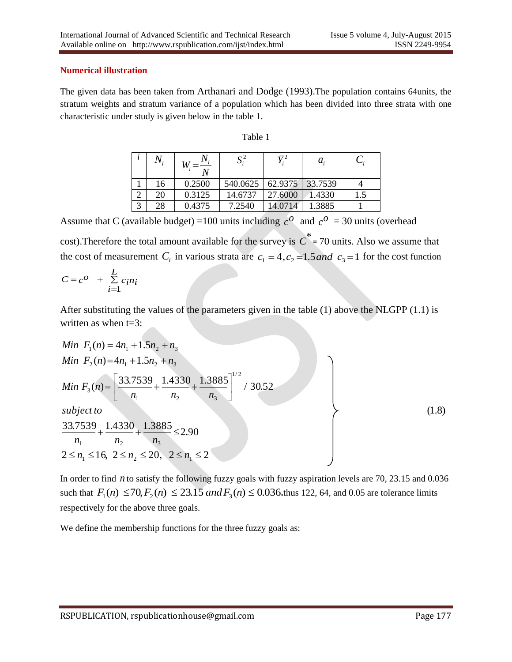#### **Numerical illustration**

The given data has been taken from Arthanari and Dodge (1993).The population contains 64units, the stratum weights and stratum variance of a population which has been divided into three strata with one characteristic under study is given below in the table 1.

|--|--|

|   | $N_{i}$ |        | ມ        | $\overline{\mathbf{v}}^2$ | $a_{i}$ |     |
|---|---------|--------|----------|---------------------------|---------|-----|
|   | 16      | 0.2500 | 540.0625 | 62.9375                   | 33.7539 |     |
| ⌒ | 20      | 0.3125 | 14.6737  | 27.6000                   | 1.4330  | 1.5 |
| 3 | 28      | 0.4375 | 7.2540   | 14.0714                   | 1.3885  |     |

Assume that C (available budget) = 100 units including  $c^{\circ}$  and  $c^{\circ}$  = 30 units (overhead

cost). Therefore the total amount available for the survey is  $C^*$  = 70 units. Also we assume that the cost of measurement  $C_i$  in various strata are  $c_1 = 4$ ,  $c_2 = 1.5$  and  $c_3 = 1$  for the cost function

$$
C = c^O + \sum_{i=1}^{L} c_i n_i
$$

After substituting the values of the parameters given in the table (1) above the NLGPP (1.1) is written as when t=3:

Min 
$$
F_1(n) = 4n_1 + 1.5n_2 + n_3
$$
  
\nMin  $F_2(n) = 4n_1 + 1.5n_2 + n_3$   
\nMin  $F_3(n) = \left[\frac{33.7539}{n_1} + \frac{1.4330}{n_2} + \frac{1.3885}{n_3}\right]^{1/2} / 30.52$   
\nsubject to  
\n
$$
\frac{33.7539}{n_1} + \frac{1.4330}{n_2} + \frac{1.3885}{n_3} \le 2.90
$$
\n
$$
n_1 \qquad n_2 \qquad n_3
$$
\n
$$
2 \le n_1 \le 16, 2 \le n_2 \le 20, 2 \le n_1 \le 2
$$
\n(1.8)

In order to find *n* to satisfy the following fuzzy goals with fuzzy aspiration levels are 70, 23.15 and 0.036 such that  $F_1(n) \le 70, F_2(n) \le 23.15$  *and*  $F_3(n) \le 0.036$ , thus 122, 64, and 0.05 are tolerance limits respectively for the above three goals.

We define the membership functions for the three fuzzy goals as: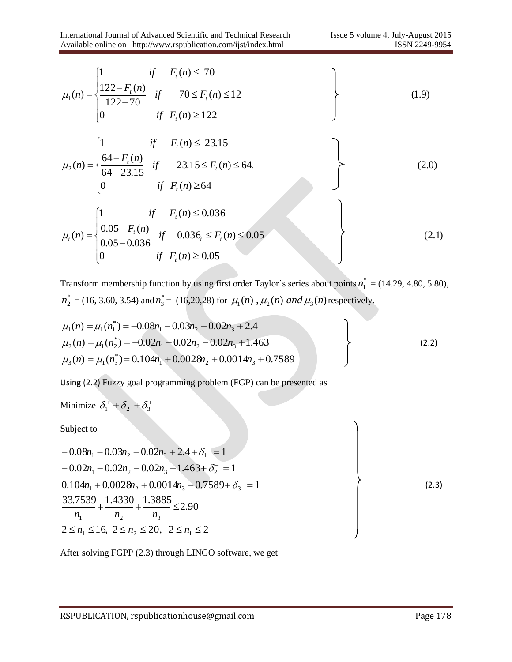$$
\mu_{1}(n) = \begin{cases}\n1 & \text{if } F_{i}(n) \le 70 \\
\frac{122 - F_{i}(n)}{122 - 70} & \text{if } 70 \le F_{i}(n) \le 12 \\
0 & \text{if } F_{i}(n) \ge 122\n\end{cases}
$$
\n(1.9)  
\n
$$
\mu_{2}(n) = \begin{cases}\n1 & \text{if } F_{i}(n) \le 23.15 \\
\frac{64 - F_{i}(n)}{64 - 23.15} & \text{if } 23.15 \le F_{i}(n) \le 64, \\
0 & \text{if } F_{i}(n) \ge 64 \\
\frac{0.05 - F_{i}(n)}{0.05 - 0.036} & \text{if } 0.036_{i} \le F_{i}(n) \le 0.05 \\
0 & \text{if } F_{i}(n) \ge 0.05\n\end{cases}
$$
\n(2.1)

Transform membership function by using first order Taylor's series about points  $n_1^* = (14.29, 4.80, 5.80)$ ,  $n_2^* = (16, 3.60, 3.54)$  and  $n_3^* = (16, 20, 28)$  for  $\mu_1(n)$ ,  $\mu_2(n)$  and  $\mu_3(n)$  respectively.

$$
\mu_1(n) = \mu_1(n_1^*) = -0.08n_1 - 0.03n_2 - 0.02n_3 + 2.4
$$
  
\n
$$
\mu_2(n) = \mu_1(n_2^*) = -0.02n_1 - 0.02n_2 - 0.02n_3 + 1.463
$$
  
\n
$$
\mu_3(n) = \mu_1(n_3^*) = 0.104n_1 + 0.0028n_2 + 0.0014n_3 + 0.7589
$$
\n(2.2)

Using (2.2) Fuzzy goal programming problem (FGP) can be presented as

Minimize  $\delta_1^+$  +  $\delta_2^+$  +  $\delta_3^+$ 

Subject to

$$
-0.08n_1 - 0.03n_2 - 0.02n_3 + 2.4 + \delta_1^+ = 1
$$
  
\n
$$
-0.02n_1 - 0.02n_2 - 0.02n_3 + 1.463 + \delta_2^+ = 1
$$
  
\n
$$
0.104n_1 + 0.0028n_2 + 0.0014n_3 - 0.7589 + \delta_3^+ = 1
$$
  
\n
$$
\frac{33.7539}{n_1} + \frac{1.4330}{n_2} + \frac{1.3885}{n_3} \le 2.90
$$
  
\n
$$
2 \le n_1 \le 16, \ 2 \le n_2 \le 20, \ 2 \le n_1 \le 2
$$
\n(2.3)

After solving FGPP (2.3) through LINGO software, we get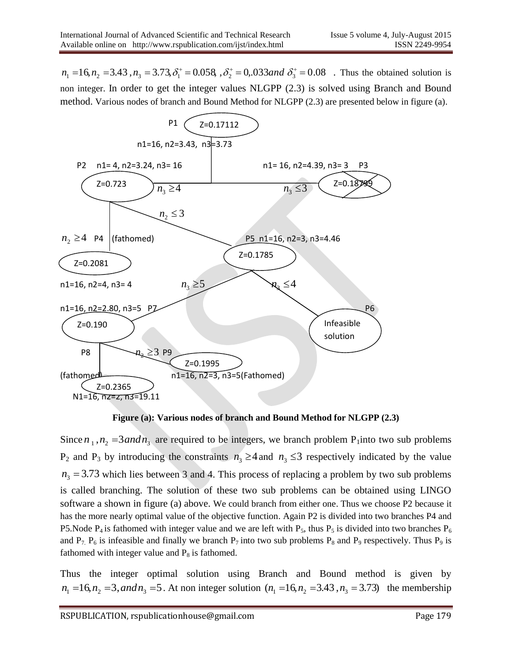$n_1 = 16$ ,  $n_2 = 3.43$ ,  $n_3 = 3.73$ ,  $\delta_1^+ = 0.058$ ,  $\delta_2^+ = 0.033$  and  $\delta_3^+ = 0.08$ . Thus the obtained solution is non integer. In order to get the integer values NLGPP (2.3) is solved using Branch and Bound method. Various nodes of branch and Bound Method for NLGPP (2.3) are presented below in figure (a).



**Figure (a): Various nodes of branch and Bound Method for NLGPP (2.3)**

Since  $n_1$ ,  $n_2 = 3$  *and*  $n_3$  are required to be integers, we branch problem P<sub>1</sub> into two sub problems  $P_2$  and  $P_3$  by introducing the constraints  $n_3 \geq 4$  and  $n_3 \leq 3$  respectively indicated by the value  $n_3 = 3.73$  which lies between 3 and 4. This process of replacing a problem by two sub problems is called branching. The solution of these two sub problems can be obtained using LINGO software a shown in figure (a) above. We could branch from either one. Thus we choose P2 because it has the more nearly optimal value of the objective function. Again P2 is divided into two branches P4 and P5.Node P<sub>4</sub> is fathomed with integer value and we are left with P<sub>5</sub>, thus P<sub>5</sub> is divided into two branches P<sub>6</sub> and  $P_7$ ,  $P_6$  is infeasible and finally we branch  $P_7$  into two sub problems  $P_8$  and  $P_9$  respectively. Thus  $P_9$  is fathomed with integer value and  $P_8$  is fathomed.

Thus the integer optimal solution using Branch and Bound method is given by  $n_1 = 16$ ,  $n_2 = 3$ , *and*  $n_3 = 5$ . At non integer solution ( $n_1 = 16$ ,  $n_2 = 3.43$ ,  $n_3 = 3.73$ ) the membership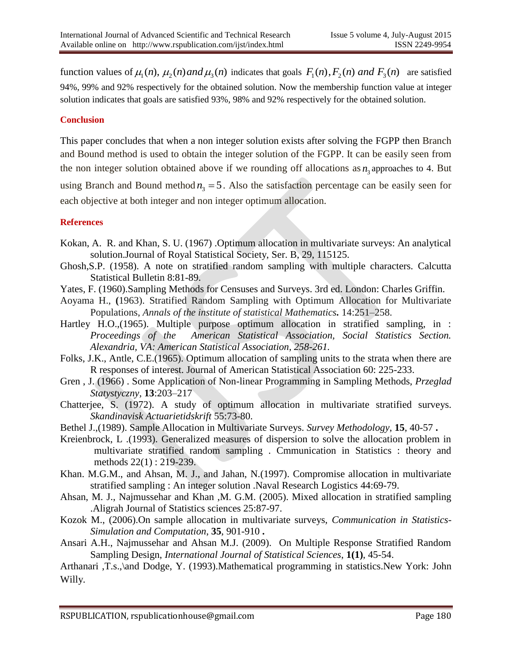function values of  $\mu_1(n)$ ,  $\mu_2(n)$  *and*  $\mu_3(n)$  indicates that goals  $F_1(n)$ ,  $F_2(n)$  *and*  $F_3(n)$  are satisfied 94%, 99% and 92% respectively for the obtained solution. Now the membership function value at integer solution indicates that goals are satisfied 93%, 98% and 92% respectively for the obtained solution.

### **Conclusion**

This paper concludes that when a non integer solution exists after solving the FGPP then Branch and Bound method is used to obtain the integer solution of the FGPP. It can be easily seen from the non integer solution obtained above if we rounding off allocations as  $n_3$  approaches to 4. But using Branch and Bound method  $n_3 = 5$ . Also the satisfaction percentage can be easily seen for each objective at both integer and non integer optimum allocation.

#### **References**

- Kokan, A. R. and Khan, S. U. (1967) .Optimum allocation in multivariate surveys: An analytical solution.Journal of Royal Statistical Society, Ser. B, 29, 115125.
- Ghosh,S.P. (1958). A note on stratified random sampling with multiple characters. Calcutta Statistical Bulletin 8:81-89.
- Yates, F. (1960).Sampling Methods for Censuses and Surveys. 3rd ed. London: Charles Griffin.
- Aoyama H., **(**1963). Stratified Random Sampling with Optimum Allocation for Multivariate Populations, *Annals of the institute of statistical Mathematics.* 14:251–258.
- Hartley H.O.,(1965). Multiple purpose optimum allocation in stratified sampling, in : *Proceedings of the American Statistical Association, Social Statistics Section. Alexandria, VA: American Statistical Association, 258-261.*
- Folks, J.K., Antle, C.E.(1965). Optimum allocation of sampling units to the strata when there are R responses of interest. Journal of American Statistical Association 60: 225-233.
- Gren , J. (1966) . Some Application of Non-linear Programming in Sampling Methods, *Przeglad Statystyczny,* **13**:203–217
- Chatterjee, S. (1972). A study of optimum allocation in multivariate stratified surveys. *Skandinavisk Actuarietidskrift* 55:73-80.
- Bethel J.,(1989). Sample Allocation in Multivariate Surveys. *Survey Methodology*, **15**, 40-57 **.**
- Kreienbrock, L .(1993). Generalized measures of dispersion to solve the allocation problem in multivariate stratified random sampling . Cmmunication in Statistics : theory and methods 22(1) : 219-239.
- Khan. M.G.M., and Ahsan, M. J., and Jahan, N.(1997). Compromise allocation in multivariate stratified sampling : An integer solution .Naval Research Logistics 44:69-79.
- Ahsan, M. J., Najmussehar and Khan ,M. G.M. (2005). Mixed allocation in stratified sampling .Aligrah Journal of Statistics sciences 25:87-97.
- Kozok M., (2006).On sample allocation in multivariate surveys, *Communication in Statistics-Simulation and Computation*, **35**, 901-910 **.**
- Ansari A.H., Najmussehar and Ahsan M.J. (2009). On Multiple Response Stratified Random Sampling Design, *International Journal of Statistical Sciences*, **1(1)**, 45-54.

Arthanari ,T.s.,\and Dodge, Y. (1993).Mathematical programming in statistics.New York: John Willy.